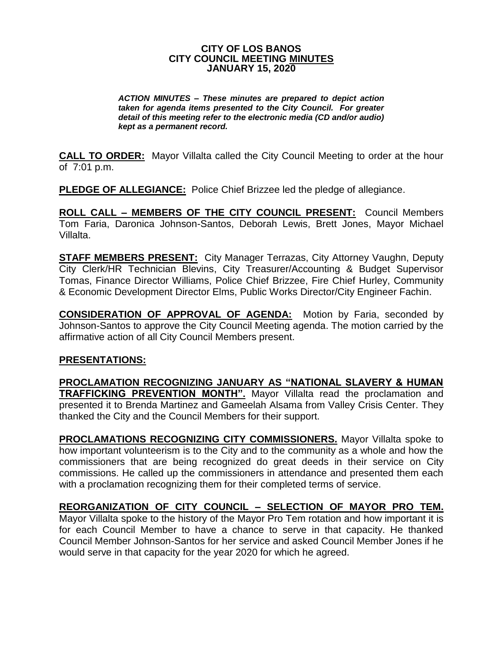## **CITY OF LOS BANOS CITY COUNCIL MEETING MINUTES JANUARY 15, 2020**

*ACTION MINUTES – These minutes are prepared to depict action taken for agenda items presented to the City Council. For greater detail of this meeting refer to the electronic media (CD and/or audio) kept as a permanent record.*

**CALL TO ORDER:** Mayor Villalta called the City Council Meeting to order at the hour of 7:01 p.m.

**PLEDGE OF ALLEGIANCE:** Police Chief Brizzee led the pledge of allegiance.

**ROLL CALL – MEMBERS OF THE CITY COUNCIL PRESENT:** Council Members Tom Faria, Daronica Johnson-Santos, Deborah Lewis, Brett Jones, Mayor Michael Villalta.

**STAFF MEMBERS PRESENT:** City Manager Terrazas, City Attorney Vaughn, Deputy City Clerk/HR Technician Blevins, City Treasurer/Accounting & Budget Supervisor Tomas, Finance Director Williams, Police Chief Brizzee, Fire Chief Hurley, Community & Economic Development Director Elms, Public Works Director/City Engineer Fachin.

**CONSIDERATION OF APPROVAL OF AGENDA:** Motion by Faria, seconded by Johnson-Santos to approve the City Council Meeting agenda. The motion carried by the affirmative action of all City Council Members present.

## **PRESENTATIONS:**

**PROCLAMATION RECOGNIZING JANUARY AS "NATIONAL SLAVERY & HUMAN TRAFFICKING PREVENTION MONTH".** Mayor Villalta read the proclamation and presented it to Brenda Martinez and Gameelah Alsama from Valley Crisis Center. They thanked the City and the Council Members for their support.

**PROCLAMATIONS RECOGNIZING CITY COMMISSIONERS.** Mayor Villalta spoke to how important volunteerism is to the City and to the community as a whole and how the commissioners that are being recognized do great deeds in their service on City commissions. He called up the commissioners in attendance and presented them each with a proclamation recognizing them for their completed terms of service.

**REORGANIZATION OF CITY COUNCIL – SELECTION OF MAYOR PRO TEM.** Mayor Villalta spoke to the history of the Mayor Pro Tem rotation and how important it is for each Council Member to have a chance to serve in that capacity. He thanked Council Member Johnson-Santos for her service and asked Council Member Jones if he would serve in that capacity for the year 2020 for which he agreed.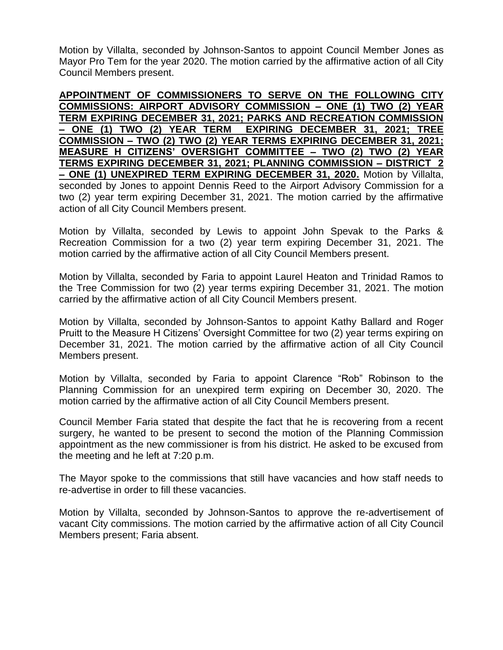Motion by Villalta, seconded by Johnson-Santos to appoint Council Member Jones as Mayor Pro Tem for the year 2020. The motion carried by the affirmative action of all City Council Members present.

**APPOINTMENT OF COMMISSIONERS TO SERVE ON THE FOLLOWING CITY COMMISSIONS: AIRPORT ADVISORY COMMISSION – ONE (1) TWO (2) YEAR TERM EXPIRING DECEMBER 31, 2021; PARKS AND RECREATION COMMISSION – ONE (1) TWO (2) YEAR TERM EXPIRING DECEMBER 31, 2021; TREE COMMISSION – TWO (2) TWO (2) YEAR TERMS EXPIRING DECEMBER 31, 2021; MEASURE H CITIZENS' OVERSIGHT COMMITTEE – TWO (2) TWO (2) YEAR TERMS EXPIRING DECEMBER 31, 2021; PLANNING COMMISSION – DISTRICT 2 – ONE (1) UNEXPIRED TERM EXPIRING DECEMBER 31, 2020.** Motion by Villalta, seconded by Jones to appoint Dennis Reed to the Airport Advisory Commission for a two (2) year term expiring December 31, 2021. The motion carried by the affirmative action of all City Council Members present.

Motion by Villalta, seconded by Lewis to appoint John Spevak to the Parks & Recreation Commission for a two (2) year term expiring December 31, 2021. The motion carried by the affirmative action of all City Council Members present.

Motion by Villalta, seconded by Faria to appoint Laurel Heaton and Trinidad Ramos to the Tree Commission for two (2) year terms expiring December 31, 2021. The motion carried by the affirmative action of all City Council Members present.

Motion by Villalta, seconded by Johnson-Santos to appoint Kathy Ballard and Roger Pruitt to the Measure H Citizens' Oversight Committee for two (2) year terms expiring on December 31, 2021. The motion carried by the affirmative action of all City Council Members present.

Motion by Villalta, seconded by Faria to appoint Clarence "Rob" Robinson to the Planning Commission for an unexpired term expiring on December 30, 2020. The motion carried by the affirmative action of all City Council Members present.

Council Member Faria stated that despite the fact that he is recovering from a recent surgery, he wanted to be present to second the motion of the Planning Commission appointment as the new commissioner is from his district. He asked to be excused from the meeting and he left at 7:20 p.m.

The Mayor spoke to the commissions that still have vacancies and how staff needs to re-advertise in order to fill these vacancies.

Motion by Villalta, seconded by Johnson-Santos to approve the re-advertisement of vacant City commissions. The motion carried by the affirmative action of all City Council Members present; Faria absent.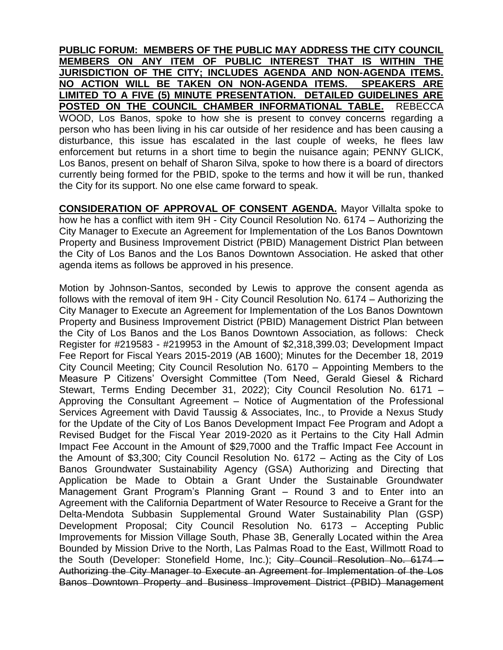**PUBLIC FORUM: MEMBERS OF THE PUBLIC MAY ADDRESS THE CITY COUNCIL MEMBERS ON ANY ITEM OF PUBLIC INTEREST THAT IS WITHIN THE JURISDICTION OF THE CITY; INCLUDES AGENDA AND NON-AGENDA ITEMS. NO ACTION WILL BE TAKEN ON NON-AGENDA ITEMS. SPEAKERS ARE LIMITED TO A FIVE (5) MINUTE PRESENTATION. DETAILED GUIDELINES ARE POSTED ON THE COUNCIL CHAMBER INFORMATIONAL TABLE.** REBECCA WOOD, Los Banos, spoke to how she is present to convey concerns regarding a person who has been living in his car outside of her residence and has been causing a disturbance, this issue has escalated in the last couple of weeks, he flees law enforcement but returns in a short time to begin the nuisance again; PENNY GLICK, Los Banos, present on behalf of Sharon Silva, spoke to how there is a board of directors currently being formed for the PBID, spoke to the terms and how it will be run, thanked the City for its support. No one else came forward to speak.

**CONSIDERATION OF APPROVAL OF CONSENT AGENDA.** Mayor Villalta spoke to how he has a conflict with item 9H - City Council Resolution No. 6174 – Authorizing the City Manager to Execute an Agreement for Implementation of the Los Banos Downtown Property and Business Improvement District (PBID) Management District Plan between the City of Los Banos and the Los Banos Downtown Association. He asked that other agenda items as follows be approved in his presence.

Motion by Johnson-Santos, seconded by Lewis to approve the consent agenda as follows with the removal of item 9H - City Council Resolution No. 6174 – Authorizing the City Manager to Execute an Agreement for Implementation of the Los Banos Downtown Property and Business Improvement District (PBID) Management District Plan between the City of Los Banos and the Los Banos Downtown Association, as follows: Check Register for #219583 - #219953 in the Amount of \$2,318,399.03; Development Impact Fee Report for Fiscal Years 2015-2019 (AB 1600); Minutes for the December 18, 2019 City Council Meeting; City Council Resolution No. 6170 – Appointing Members to the Measure P Citizens' Oversight Committee (Tom Need, Gerald Giesel & Richard Stewart, Terms Ending December 31, 2022); City Council Resolution No. 6171 – Approving the Consultant Agreement – Notice of Augmentation of the Professional Services Agreement with David Taussig & Associates, Inc., to Provide a Nexus Study for the Update of the City of Los Banos Development Impact Fee Program and Adopt a Revised Budget for the Fiscal Year 2019-2020 as it Pertains to the City Hall Admin Impact Fee Account in the Amount of \$29,7000 and the Traffic Impact Fee Account in the Amount of \$3,300; City Council Resolution No. 6172 – Acting as the City of Los Banos Groundwater Sustainability Agency (GSA) Authorizing and Directing that Application be Made to Obtain a Grant Under the Sustainable Groundwater Management Grant Program's Planning Grant – Round 3 and to Enter into an Agreement with the California Department of Water Resource to Receive a Grant for the Delta-Mendota Subbasin Supplemental Ground Water Sustainability Plan (GSP) Development Proposal; City Council Resolution No. 6173 – Accepting Public Improvements for Mission Village South, Phase 3B, Generally Located within the Area Bounded by Mission Drive to the North, Las Palmas Road to the East, Willmott Road to the South (Developer: Stonefield Home, Inc.); City Council Resolution No. 6174 – Authorizing the City Manager to Execute an Agreement for Implementation of the Los Banos Downtown Property and Business Improvement District (PBID) Management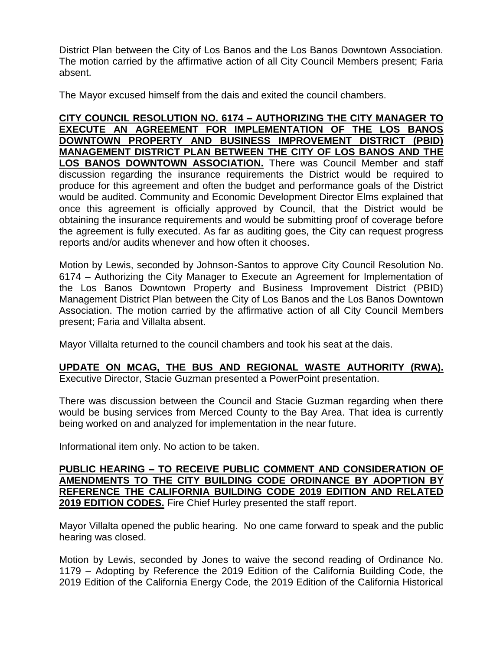District Plan between the City of Los Banos and the Los Banos Downtown Association. The motion carried by the affirmative action of all City Council Members present; Faria absent.

The Mayor excused himself from the dais and exited the council chambers.

**CITY COUNCIL RESOLUTION NO. 6174 – AUTHORIZING THE CITY MANAGER TO EXECUTE AN AGREEMENT FOR IMPLEMENTATION OF THE LOS BANOS DOWNTOWN PROPERTY AND BUSINESS IMPROVEMENT DISTRICT (PBID) MANAGEMENT DISTRICT PLAN BETWEEN THE CITY OF LOS BANOS AND THE LOS BANOS DOWNTOWN ASSOCIATION.** There was Council Member and staff discussion regarding the insurance requirements the District would be required to produce for this agreement and often the budget and performance goals of the District would be audited. Community and Economic Development Director Elms explained that once this agreement is officially approved by Council, that the District would be obtaining the insurance requirements and would be submitting proof of coverage before the agreement is fully executed. As far as auditing goes, the City can request progress reports and/or audits whenever and how often it chooses.

Motion by Lewis, seconded by Johnson-Santos to approve City Council Resolution No. 6174 – Authorizing the City Manager to Execute an Agreement for Implementation of the Los Banos Downtown Property and Business Improvement District (PBID) Management District Plan between the City of Los Banos and the Los Banos Downtown Association. The motion carried by the affirmative action of all City Council Members present; Faria and Villalta absent.

Mayor Villalta returned to the council chambers and took his seat at the dais.

**UPDATE ON MCAG, THE BUS AND REGIONAL WASTE AUTHORITY (RWA).**  Executive Director, Stacie Guzman presented a PowerPoint presentation.

There was discussion between the Council and Stacie Guzman regarding when there would be busing services from Merced County to the Bay Area. That idea is currently being worked on and analyzed for implementation in the near future.

Informational item only. No action to be taken.

**PUBLIC HEARING – TO RECEIVE PUBLIC COMMENT AND CONSIDERATION OF AMENDMENTS TO THE CITY BUILDING CODE ORDINANCE BY ADOPTION BY REFERENCE THE CALIFORNIA BUILDING CODE 2019 EDITION AND RELATED 2019 EDITION CODES.** Fire Chief Hurley presented the staff report.

Mayor Villalta opened the public hearing. No one came forward to speak and the public hearing was closed.

Motion by Lewis, seconded by Jones to waive the second reading of Ordinance No. 1179 – Adopting by Reference the 2019 Edition of the California Building Code, the 2019 Edition of the California Energy Code, the 2019 Edition of the California Historical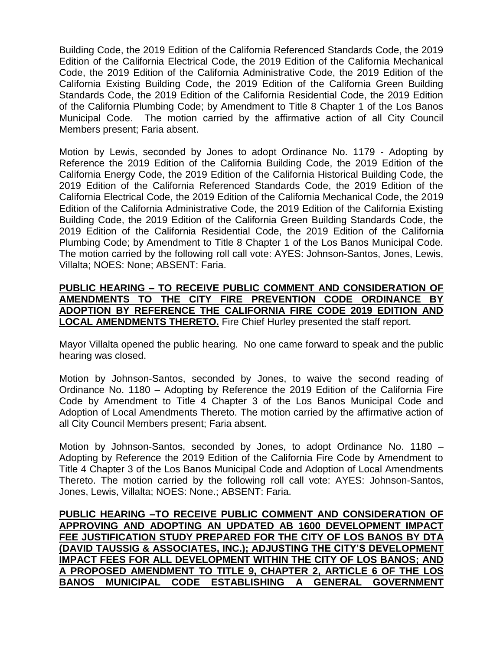Building Code, the 2019 Edition of the California Referenced Standards Code, the 2019 Edition of the California Electrical Code, the 2019 Edition of the California Mechanical Code, the 2019 Edition of the California Administrative Code, the 2019 Edition of the California Existing Building Code, the 2019 Edition of the California Green Building Standards Code, the 2019 Edition of the California Residential Code, the 2019 Edition of the California Plumbing Code; by Amendment to Title 8 Chapter 1 of the Los Banos Municipal Code. The motion carried by the affirmative action of all City Council Members present; Faria absent.

Motion by Lewis, seconded by Jones to adopt Ordinance No. 1179 - Adopting by Reference the 2019 Edition of the California Building Code, the 2019 Edition of the California Energy Code, the 2019 Edition of the California Historical Building Code, the 2019 Edition of the California Referenced Standards Code, the 2019 Edition of the California Electrical Code, the 2019 Edition of the California Mechanical Code, the 2019 Edition of the California Administrative Code, the 2019 Edition of the California Existing Building Code, the 2019 Edition of the California Green Building Standards Code, the 2019 Edition of the California Residential Code, the 2019 Edition of the California Plumbing Code; by Amendment to Title 8 Chapter 1 of the Los Banos Municipal Code. The motion carried by the following roll call vote: AYES: Johnson-Santos, Jones, Lewis, Villalta; NOES: None; ABSENT: Faria.

## **PUBLIC HEARING – TO RECEIVE PUBLIC COMMENT AND CONSIDERATION OF AMENDMENTS TO THE CITY FIRE PREVENTION CODE ORDINANCE BY ADOPTION BY REFERENCE THE CALIFORNIA FIRE CODE 2019 EDITION AND LOCAL AMENDMENTS THERETO.** Fire Chief Hurley presented the staff report.

Mayor Villalta opened the public hearing. No one came forward to speak and the public hearing was closed.

Motion by Johnson-Santos, seconded by Jones, to waive the second reading of Ordinance No. 1180 – Adopting by Reference the 2019 Edition of the California Fire Code by Amendment to Title 4 Chapter 3 of the Los Banos Municipal Code and Adoption of Local Amendments Thereto. The motion carried by the affirmative action of all City Council Members present; Faria absent.

Motion by Johnson-Santos, seconded by Jones, to adopt Ordinance No. 1180 – Adopting by Reference the 2019 Edition of the California Fire Code by Amendment to Title 4 Chapter 3 of the Los Banos Municipal Code and Adoption of Local Amendments Thereto. The motion carried by the following roll call vote: AYES: Johnson-Santos, Jones, Lewis, Villalta; NOES: None.; ABSENT: Faria.

**PUBLIC HEARING –TO RECEIVE PUBLIC COMMENT AND CONSIDERATION OF APPROVING AND ADOPTING AN UPDATED AB 1600 DEVELOPMENT IMPACT FEE JUSTIFICATION STUDY PREPARED FOR THE CITY OF LOS BANOS BY DTA (DAVID TAUSSIG & ASSOCIATES, INC.); ADJUSTING THE CITY'S DEVELOPMENT IMPACT FEES FOR ALL DEVELOPMENT WITHIN THE CITY OF LOS BANOS; AND A PROPOSED AMENDMENT TO TITLE 9, CHAPTER 2, ARTICLE 6 OF THE LOS BANOS MUNICIPAL CODE ESTABLISHING A GENERAL GOVERNMENT**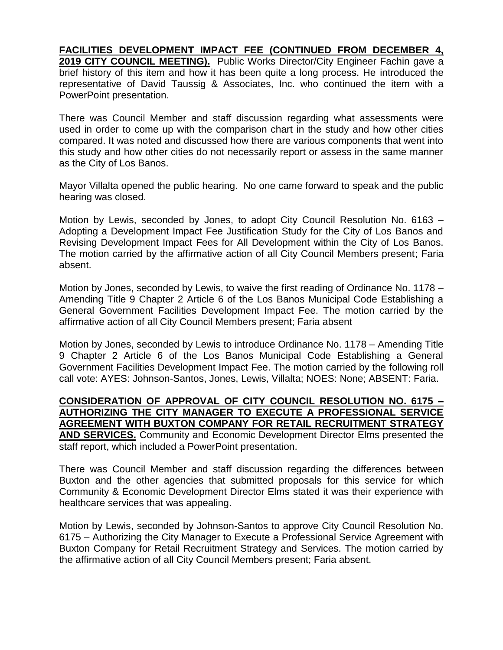**FACILITIES DEVELOPMENT IMPACT FEE (CONTINUED FROM DECEMBER 4, 2019 CITY COUNCIL MEETING).** Public Works Director/City Engineer Fachin gave a brief history of this item and how it has been quite a long process. He introduced the representative of David Taussig & Associates, Inc. who continued the item with a PowerPoint presentation.

There was Council Member and staff discussion regarding what assessments were used in order to come up with the comparison chart in the study and how other cities compared. It was noted and discussed how there are various components that went into this study and how other cities do not necessarily report or assess in the same manner as the City of Los Banos.

Mayor Villalta opened the public hearing. No one came forward to speak and the public hearing was closed.

Motion by Lewis, seconded by Jones, to adopt City Council Resolution No. 6163 – Adopting a Development Impact Fee Justification Study for the City of Los Banos and Revising Development Impact Fees for All Development within the City of Los Banos. The motion carried by the affirmative action of all City Council Members present; Faria absent.

Motion by Jones, seconded by Lewis, to waive the first reading of Ordinance No. 1178 – Amending Title 9 Chapter 2 Article 6 of the Los Banos Municipal Code Establishing a General Government Facilities Development Impact Fee. The motion carried by the affirmative action of all City Council Members present; Faria absent

Motion by Jones, seconded by Lewis to introduce Ordinance No. 1178 – Amending Title 9 Chapter 2 Article 6 of the Los Banos Municipal Code Establishing a General Government Facilities Development Impact Fee. The motion carried by the following roll call vote: AYES: Johnson-Santos, Jones, Lewis, Villalta; NOES: None; ABSENT: Faria.

**CONSIDERATION OF APPROVAL OF CITY COUNCIL RESOLUTION NO. 6175 – AUTHORIZING THE CITY MANAGER TO EXECUTE A PROFESSIONAL SERVICE AGREEMENT WITH BUXTON COMPANY FOR RETAIL RECRUITMENT STRATEGY AND SERVICES.** Community and Economic Development Director Elms presented the staff report, which included a PowerPoint presentation.

There was Council Member and staff discussion regarding the differences between Buxton and the other agencies that submitted proposals for this service for which Community & Economic Development Director Elms stated it was their experience with healthcare services that was appealing.

Motion by Lewis, seconded by Johnson-Santos to approve City Council Resolution No. 6175 – Authorizing the City Manager to Execute a Professional Service Agreement with Buxton Company for Retail Recruitment Strategy and Services. The motion carried by the affirmative action of all City Council Members present; Faria absent.